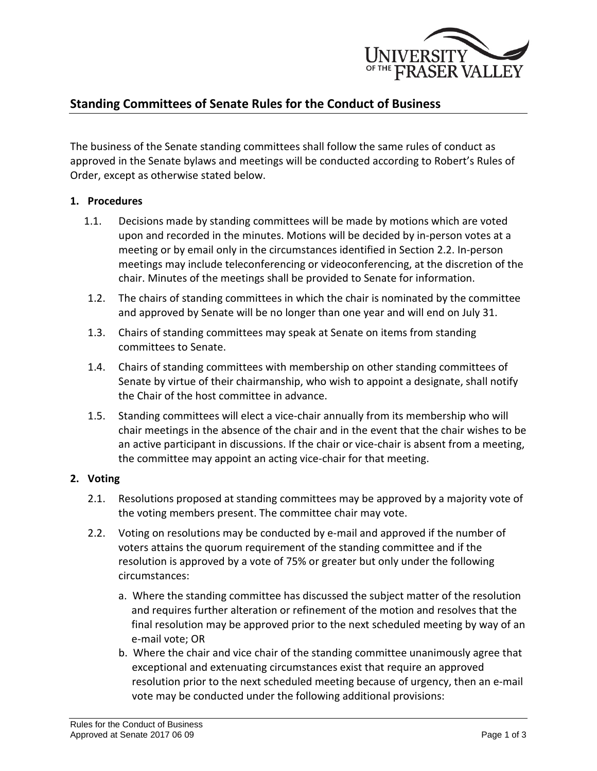

# **Standing Committees of Senate Rules for the Conduct of Business**

The business of the Senate standing committees shall follow the same rules of conduct as approved in the Senate bylaws and meetings will be conducted according to Robert's Rules of Order, except as otherwise stated below.

#### **1. Procedures**

- 1.1. Decisions made by standing committees will be made by motions which are voted upon and recorded in the minutes. Motions will be decided by in-person votes at a meeting or by email only in the circumstances identified in Section 2.2. In-person meetings may include teleconferencing or videoconferencing, at the discretion of the chair. Minutes of the meetings shall be provided to Senate for information.
- 1.2. The chairs of standing committees in which the chair is nominated by the committee and approved by Senate will be no longer than one year and will end on July 31.
- 1.3. Chairs of standing committees may speak at Senate on items from standing committees to Senate.
- 1.4. Chairs of standing committees with membership on other standing committees of Senate by virtue of their chairmanship, who wish to appoint a designate, shall notify the Chair of the host committee in advance.
- 1.5. Standing committees will elect a vice-chair annually from its membership who will chair meetings in the absence of the chair and in the event that the chair wishes to be an active participant in discussions. If the chair or vice-chair is absent from a meeting, the committee may appoint an acting vice-chair for that meeting.

#### **2. Voting**

- 2.1. Resolutions proposed at standing committees may be approved by a majority vote of the voting members present. The committee chair may vote.
- 2.2. Voting on resolutions may be conducted by e-mail and approved if the number of voters attains the quorum requirement of the standing committee and if the resolution is approved by a vote of 75% or greater but only under the following circumstances:
	- a. Where the standing committee has discussed the subject matter of the resolution and requires further alteration or refinement of the motion and resolves that the final resolution may be approved prior to the next scheduled meeting by way of an e-mail vote; OR
	- b. Where the chair and vice chair of the standing committee unanimously agree that exceptional and extenuating circumstances exist that require an approved resolution prior to the next scheduled meeting because of urgency, then an e-mail vote may be conducted under the following additional provisions: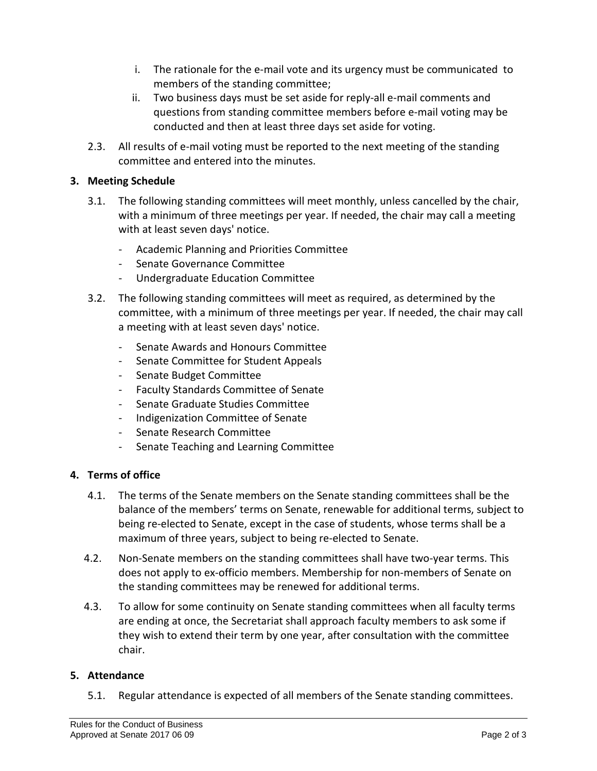- i. The rationale for the e-mail vote and its urgency must be communicated to members of the standing committee;
- ii. Two business days must be set aside for reply-all e-mail comments and questions from standing committee members before e-mail voting may be conducted and then at least three days set aside for voting.
- 2.3. All results of e-mail voting must be reported to the next meeting of the standing committee and entered into the minutes.

## **3. Meeting Schedule**

- 3.1. The following standing committees will meet monthly, unless cancelled by the chair, with a minimum of three meetings per year. If needed, the chair may call a meeting with at least seven days' notice.
	- Academic Planning and Priorities Committee
	- Senate Governance Committee
	- Undergraduate Education Committee
- 3.2. The following standing committees will meet as required, as determined by the committee, with a minimum of three meetings per year. If needed, the chair may call a meeting with at least seven days' notice.
	- Senate Awards and Honours Committee
	- Senate Committee for Student Appeals
	- Senate Budget Committee
	- Faculty Standards Committee of Senate
	- Senate Graduate Studies Committee
	- Indigenization Committee of Senate
	- Senate Research Committee
	- Senate Teaching and Learning Committee

### **4. Terms of office**

- 4.1. The terms of the Senate members on the Senate standing committees shall be the balance of the members' terms on Senate, renewable for additional terms, subject to being re-elected to Senate, except in the case of students, whose terms shall be a maximum of three years, subject to being re-elected to Senate.
- 4.2. Non-Senate members on the standing committees shall have two-year terms. This does not apply to ex-officio members. Membership for non-members of Senate on the standing committees may be renewed for additional terms.
- 4.3. To allow for some continuity on Senate standing committees when all faculty terms are ending at once, the Secretariat shall approach faculty members to ask some if they wish to extend their term by one year, after consultation with the committee chair.

### **5. Attendance**

5.1. Regular attendance is expected of all members of the Senate standing committees.